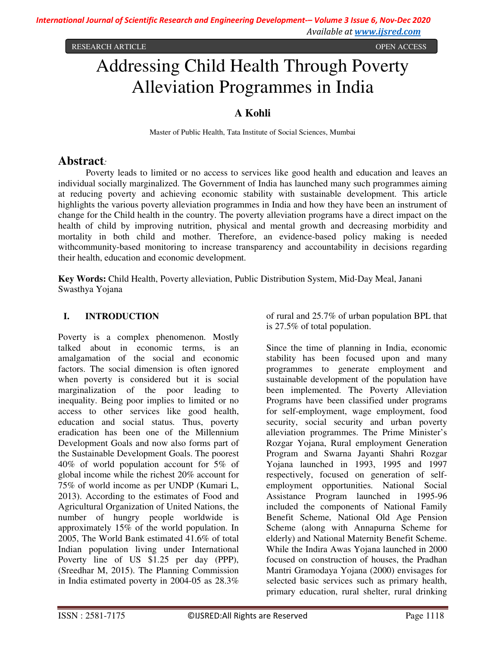RESEARCH ARTICLE **CONSERVERS** OPEN ACCESS **OPEN ACCESS** 

# Addressing Child Health Through Poverty Alleviation Programmes in India

# **A Kohli**

Master of Public Health, Tata Institute of Social Sciences, Mumbai

# **Abstract***:*

Poverty leads to limited or no access to services like good health and education and leaves an individual socially marginalized. The Government of India has launched many such programmes aiming at reducing poverty and achieving economic stability with sustainable development. This article highlights the various poverty alleviation programmes in India and how they have been an instrument of change for the Child health in the country. The poverty alleviation programs have a direct impact on the health of child by improving nutrition, physical and mental growth and decreasing morbidity and mortality in both child and mother. Therefore, an evidence-based policy making is needed withcommunity-based monitoring to increase transparency and accountability in decisions regarding their health, education and economic development.

**Key Words:** Child Health, Poverty alleviation, Public Distribution System, Mid-Day Meal, Janani Swasthya Yojana

### **I. INTRODUCTION**

Poverty is a complex phenomenon. Mostly talked about in economic terms, is an amalgamation of the social and economic factors. The social dimension is often ignored when poverty is considered but it is social marginalization of the poor leading to inequality. Being poor implies to limited or no access to other services like good health, education and social status. Thus, poverty eradication has been one of the Millennium Development Goals and now also forms part of the Sustainable Development Goals. The poorest 40% of world population account for 5% of global income while the richest 20% account for 75% of world income as per UNDP (Kumari L, 2013). According to the estimates of Food and Agricultural Organization of United Nations, the number of hungry people worldwide is approximately 15% of the world population. In 2005, The World Bank estimated 41.6% of total Indian population living under International Poverty line of US \$1.25 per day (PPP), (Sreedhar M, 2015). The Planning Commission in India estimated poverty in 2004-05 as 28.3%

of rural and 25.7% of urban population BPL that is 27.5% of total population.

Since the time of planning in India, economic stability has been focused upon and many programmes to generate employment and sustainable development of the population have been implemented. The Poverty Alleviation Programs have been classified under programs for self-employment, wage employment, food security, social security and urban poverty alleviation programmes. The Prime Minister's Rozgar Yojana, Rural employment Generation Program and Swarna Jayanti Shahri Rozgar Yojana launched in 1993, 1995 and 1997 respectively, focused on generation of selfemployment opportunities. National Social Assistance Program launched in 1995-96 included the components of National Family Benefit Scheme, National Old Age Pension Scheme (along with Annapurna Scheme for elderly) and National Maternity Benefit Scheme. While the Indira Awas Yojana launched in 2000 focused on construction of houses, the Pradhan Mantri Gramodaya Yojana (2000) envisages for selected basic services such as primary health, primary education, rural shelter, rural drinking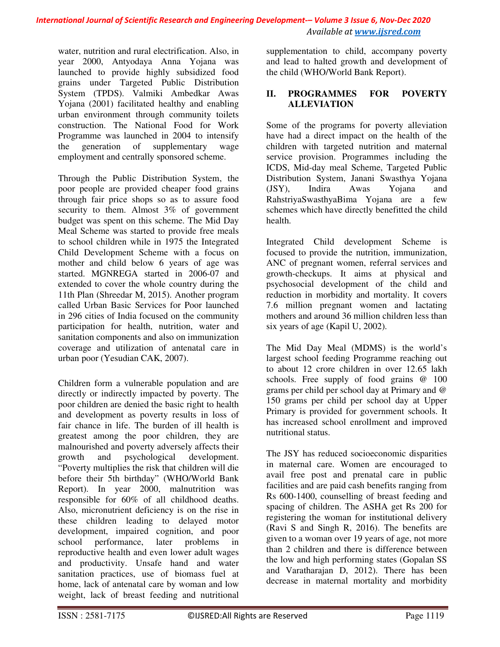# *International Journal of Scientific Research and Engineering Development-– Volume 3 Issue 6, Nov-Dec 2020 Available at www.ijsred.com*

water, nutrition and rural electrification. Also, in year 2000, Antyodaya Anna Yojana was launched to provide highly subsidized food grains under Targeted Public Distribution System (TPDS). Valmiki Ambedkar Awas Yojana (2001) facilitated healthy and enabling urban environment through community toilets construction. The National Food for Work Programme was launched in 2004 to intensify the generation of supplementary wage employment and centrally sponsored scheme.

Through the Public Distribution System, the poor people are provided cheaper food grains through fair price shops so as to assure food security to them. Almost 3% of government budget was spent on this scheme. The Mid Day Meal Scheme was started to provide free meals to school children while in 1975 the Integrated Child Development Scheme with a focus on mother and child below 6 years of age was started. MGNREGA started in 2006-07 and extended to cover the whole country during the 11th Plan (Shreedar M, 2015). Another program called Urban Basic Services for Poor launched in 296 cities of India focused on the community participation for health, nutrition, water and sanitation components and also on immunization coverage and utilization of antenatal care in urban poor (Yesudian CAK, 2007).

Children form a vulnerable population and are directly or indirectly impacted by poverty. The poor children are denied the basic right to health and development as poverty results in loss of fair chance in life. The burden of ill health is greatest among the poor children, they are malnourished and poverty adversely affects their growth and psychological development. "Poverty multiplies the risk that children will die before their 5th birthday" (WHO/World Bank Report). In year 2000, malnutrition was responsible for 60% of all childhood deaths. Also, micronutrient deficiency is on the rise in these children leading to delayed motor development, impaired cognition, and poor school performance, later problems in reproductive health and even lower adult wages and productivity. Unsafe hand and water sanitation practices, use of biomass fuel at home, lack of antenatal care by woman and low weight, lack of breast feeding and nutritional supplementation to child, accompany poverty and lead to halted growth and development of the child (WHO/World Bank Report).

#### **II. PROGRAMMES FOR POVERTY ALLEVIATION**

Some of the programs for poverty alleviation have had a direct impact on the health of the children with targeted nutrition and maternal service provision. Programmes including the ICDS, Mid-day meal Scheme, Targeted Public Distribution System, Janani Swasthya Yojana (JSY), Indira Awas Yojana and RahstriyaSwasthyaBima Yojana are a few schemes which have directly benefitted the child health.

Integrated Child development Scheme is focused to provide the nutrition, immunization, ANC of pregnant women, referral services and growth-checkups. It aims at physical and psychosocial development of the child and reduction in morbidity and mortality. It covers 7.6 million pregnant women and lactating mothers and around 36 million children less than six years of age (Kapil U, 2002).

The Mid Day Meal (MDMS) is the world's largest school feeding Programme reaching out to about 12 crore children in over 12.65 lakh schools. Free supply of food grains @ 100 grams per child per school day at Primary and @ 150 grams per child per school day at Upper Primary is provided for government schools. It has increased school enrollment and improved nutritional status.

The JSY has reduced socioeconomic disparities in maternal care. Women are encouraged to avail free post and prenatal care in public facilities and are paid cash benefits ranging from Rs 600-1400, counselling of breast feeding and spacing of children. The ASHA get Rs 200 for registering the woman for institutional delivery (Ravi S and Singh R, 2016). The benefits are given to a woman over 19 years of age, not more than 2 children and there is difference between the low and high performing states (Gopalan SS and Varatharajan D, 2012). There has been decrease in maternal mortality and morbidity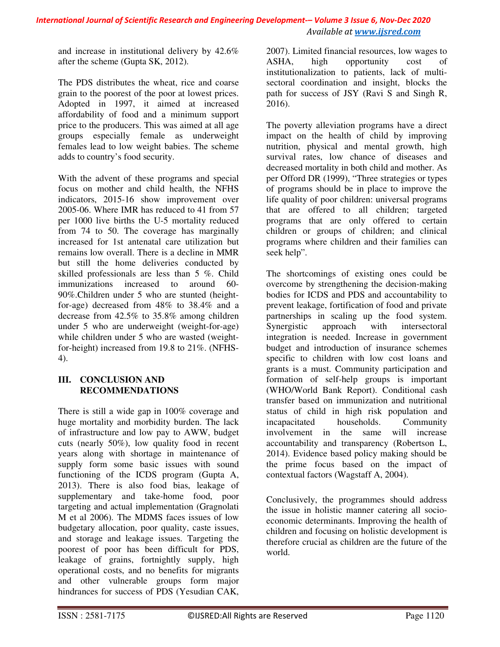and increase in institutional delivery by 42.6% after the scheme (Gupta SK, 2012).

The PDS distributes the wheat, rice and coarse grain to the poorest of the poor at lowest prices. Adopted in 1997, it aimed at increased affordability of food and a minimum support price to the producers. This was aimed at all age groups especially female as underweight females lead to low weight babies. The scheme adds to country's food security.

With the advent of these programs and special focus on mother and child health, the NFHS indicators, 2015-16 show improvement over 2005-06. Where IMR has reduced to 41 from 57 per 1000 live births the U-5 mortality reduced from 74 to 50. The coverage has marginally increased for 1st antenatal care utilization but remains low overall. There is a decline in MMR but still the home deliveries conducted by skilled professionals are less than 5 %. Child immunizations increased to around 60- 90%.Children under 5 who are stunted (heightfor-age) decreased from 48% to 38.4% and a decrease from 42.5% to 35.8% among children under 5 who are underweight (weight-for-age) while children under 5 who are wasted (weightfor-height) increased from 19.8 to 21%. (NFHS-4).

### **III. CONCLUSION AND RECOMMENDATIONS**

There is still a wide gap in 100% coverage and huge mortality and morbidity burden. The lack of infrastructure and low pay to AWW, budget cuts (nearly 50%), low quality food in recent years along with shortage in maintenance of supply form some basic issues with sound functioning of the ICDS program (Gupta A, 2013). There is also food bias, leakage of supplementary and take-home food, poor targeting and actual implementation (Gragnolati M et al 2006). The MDMS faces issues of low budgetary allocation, poor quality, caste issues, and storage and leakage issues. Targeting the poorest of poor has been difficult for PDS, leakage of grains, fortnightly supply, high operational costs, and no benefits for migrants and other vulnerable groups form major hindrances for success of PDS (Yesudian CAK,

2007). Limited financial resources, low wages to ASHA, high opportunity cost of institutionalization to patients, lack of multisectoral coordination and insight, blocks the path for success of JSY (Ravi S and Singh R, 2016).

The poverty alleviation programs have a direct impact on the health of child by improving nutrition, physical and mental growth, high survival rates, low chance of diseases and decreased mortality in both child and mother. As per Offord DR (1999), "Three strategies or types of programs should be in place to improve the life quality of poor children: universal programs that are offered to all children; targeted programs that are only offered to certain children or groups of children; and clinical programs where children and their families can seek help".

The shortcomings of existing ones could be overcome by strengthening the decision-making bodies for ICDS and PDS and accountability to prevent leakage, fortification of food and private partnerships in scaling up the food system. Synergistic approach with intersectoral integration is needed. Increase in government budget and introduction of insurance schemes specific to children with low cost loans and grants is a must. Community participation and formation of self-help groups is important (WHO/World Bank Report). Conditional cash transfer based on immunization and nutritional status of child in high risk population and incapacitated households. Community involvement in the same will increase accountability and transparency (Robertson L, 2014). Evidence based policy making should be the prime focus based on the impact of contextual factors (Wagstaff A, 2004).

Conclusively, the programmes should address the issue in holistic manner catering all socioeconomic determinants. Improving the health of children and focusing on holistic development is therefore crucial as children are the future of the world.